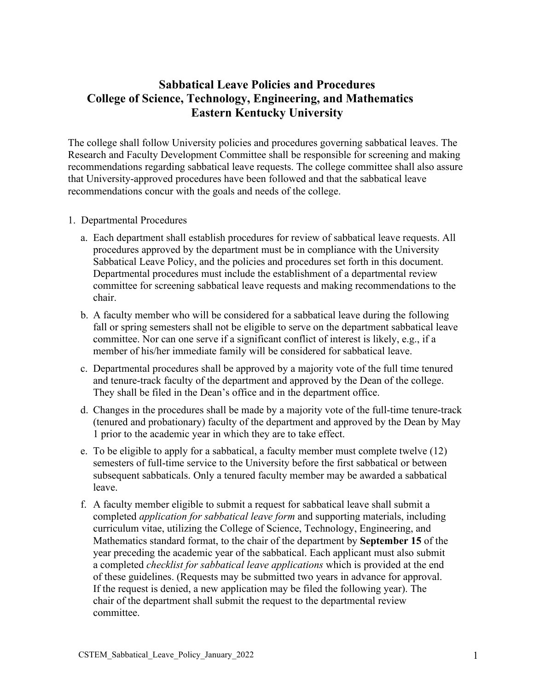## **Sabbatical Leave Policies and Procedures College of Science, Technology, Engineering, and Mathematics Eastern Kentucky University**

The college shall follow University policies and procedures governing sabbatical leaves. The Research and Faculty Development Committee shall be responsible for screening and making recommendations regarding sabbatical leave requests. The college committee shall also assure that University-approved procedures have been followed and that the sabbatical leave recommendations concur with the goals and needs of the college.

## 1. Departmental Procedures

- a. Each department shall establish procedures for review of sabbatical leave requests. All procedures approved by the department must be in compliance with the University Sabbatical Leave Policy, and the policies and procedures set forth in this document. Departmental procedures must include the establishment of a departmental review committee for screening sabbatical leave requests and making recommendations to the chair.
- b. A faculty member who will be considered for a sabbatical leave during the following fall or spring semesters shall not be eligible to serve on the department sabbatical leave committee. Nor can one serve if a significant conflict of interest is likely, e.g., if a member of his/her immediate family will be considered for sabbatical leave.
- c. Departmental procedures shall be approved by a majority vote of the full time tenured and tenure-track faculty of the department and approved by the Dean of the college. They shall be filed in the Dean's office and in the department office.
- d. Changes in the procedures shall be made by a majority vote of the full-time tenure-track (tenured and probationary) faculty of the department and approved by the Dean by May 1 prior to the academic year in which they are to take effect.
- e. To be eligible to apply for a sabbatical, a faculty member must complete twelve (12) semesters of full-time service to the University before the first sabbatical or between subsequent sabbaticals. Only a tenured faculty member may be awarded a sabbatical leave.
- f. A faculty member eligible to submit a request for sabbatical leave shall submit a completed *application for sabbatical leave form* and supporting materials, including curriculum vitae, utilizing the College of Science, Technology, Engineering, and Mathematics standard format, to the chair of the department by **September 15** of the year preceding the academic year of the sabbatical. Each applicant must also submit a completed *checklist for sabbatical leave applications* which is provided at the end of these guidelines. (Requests may be submitted two years in advance for approval. If the request is denied, a new application may be filed the following year). The chair of the department shall submit the request to the departmental review committee.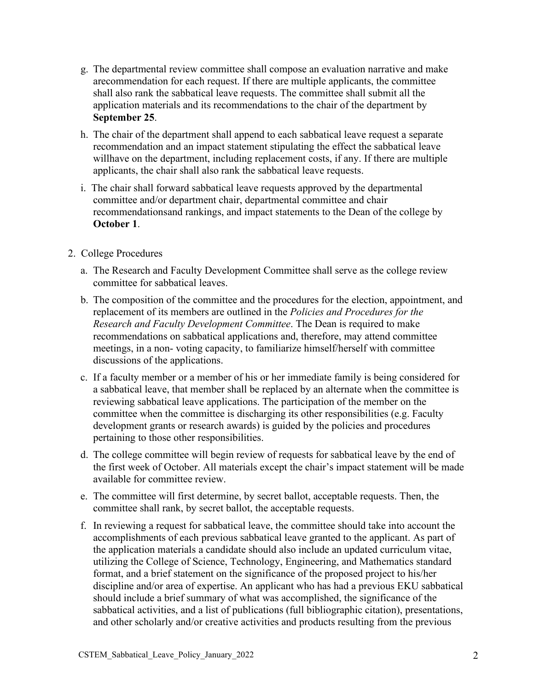- g. The departmental review committee shall compose an evaluation narrative and make arecommendation for each request. If there are multiple applicants, the committee shall also rank the sabbatical leave requests. The committee shall submit all the application materials and its recommendations to the chair of the department by **September 25**.
- h. The chair of the department shall append to each sabbatical leave request a separate recommendation and an impact statement stipulating the effect the sabbatical leave willhave on the department, including replacement costs, if any. If there are multiple applicants, the chair shall also rank the sabbatical leave requests.
- i. The chair shall forward sabbatical leave requests approved by the departmental committee and/or department chair, departmental committee and chair recommendationsand rankings, and impact statements to the Dean of the college by **October 1**.
- 2. College Procedures
	- a. The Research and Faculty Development Committee shall serve as the college review committee for sabbatical leaves.
	- b. The composition of the committee and the procedures for the election, appointment, and replacement of its members are outlined in the *Policies and Procedures for the Research and Faculty Development Committee*. The Dean is required to make recommendations on sabbatical applications and, therefore, may attend committee meetings, in a non- voting capacity, to familiarize himself/herself with committee discussions of the applications.
	- c. If a faculty member or a member of his or her immediate family is being considered for a sabbatical leave, that member shall be replaced by an alternate when the committee is reviewing sabbatical leave applications. The participation of the member on the committee when the committee is discharging its other responsibilities (e.g. Faculty development grants or research awards) is guided by the policies and procedures pertaining to those other responsibilities.
	- d. The college committee will begin review of requests for sabbatical leave by the end of the first week of October. All materials except the chair's impact statement will be made available for committee review.
	- e. The committee will first determine, by secret ballot, acceptable requests. Then, the committee shall rank, by secret ballot, the acceptable requests.
	- f. In reviewing a request for sabbatical leave, the committee should take into account the accomplishments of each previous sabbatical leave granted to the applicant. As part of the application materials a candidate should also include an updated curriculum vitae, utilizing the College of Science, Technology, Engineering, and Mathematics standard format, and a brief statement on the significance of the proposed project to his/her discipline and/or area of expertise. An applicant who has had a previous EKU sabbatical should include a brief summary of what was accomplished, the significance of the sabbatical activities, and a list of publications (full bibliographic citation), presentations, and other scholarly and/or creative activities and products resulting from the previous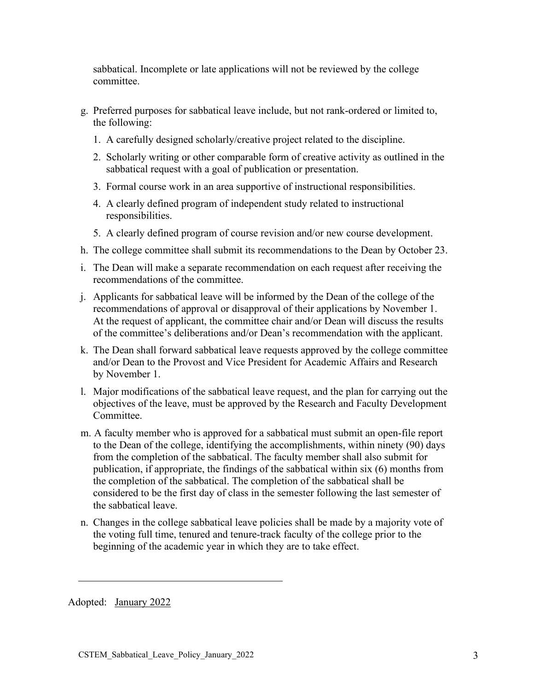sabbatical. Incomplete or late applications will not be reviewed by the college committee.

- g. Preferred purposes for sabbatical leave include, but not rank-ordered or limited to, the following:
	- 1. A carefully designed scholarly/creative project related to the discipline.
	- 2. Scholarly writing or other comparable form of creative activity as outlined in the sabbatical request with a goal of publication or presentation.
	- 3. Formal course work in an area supportive of instructional responsibilities.
	- 4. A clearly defined program of independent study related to instructional responsibilities.
	- 5. A clearly defined program of course revision and/or new course development.
- h. The college committee shall submit its recommendations to the Dean by October 23.
- i. The Dean will make a separate recommendation on each request after receiving the recommendations of the committee.
- j. Applicants for sabbatical leave will be informed by the Dean of the college of the recommendations of approval or disapproval of their applications by November 1. At the request of applicant, the committee chair and/or Dean will discuss the results of the committee's deliberations and/or Dean's recommendation with the applicant.
- k. The Dean shall forward sabbatical leave requests approved by the college committee and/or Dean to the Provost and Vice President for Academic Affairs and Research by November 1.
- l. Major modifications of the sabbatical leave request, and the plan for carrying out the objectives of the leave, must be approved by the Research and Faculty Development Committee.
- m. A faculty member who is approved for a sabbatical must submit an open-file report to the Dean of the college, identifying the accomplishments, within ninety (90) days from the completion of the sabbatical. The faculty member shall also submit for publication, if appropriate, the findings of the sabbatical within six (6) months from the completion of the sabbatical. The completion of the sabbatical shall be considered to be the first day of class in the semester following the last semester of the sabbatical leave.
- n. Changes in the college sabbatical leave policies shall be made by a majority vote of the voting full time, tenured and tenure-track faculty of the college prior to the beginning of the academic year in which they are to take effect.

Adopted: January 2022